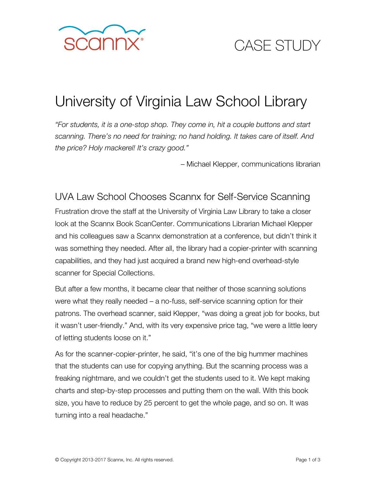

# CASE STUDY

## University of Virginia Law School Library

*"For students, it is a one-stop shop. They come in, hit a couple buttons and start scanning. There's no need for training; no hand holding. It takes care of itself. And the price? Holy mackerel! It's crazy good."* 

– Michael Klepper, communications librarian

UVA Law School Chooses Scannx for Self-Service Scanning Frustration drove the staff at the University of Virginia Law Library to take a closer look at the Scannx Book ScanCenter. Communications Librarian Michael Klepper and his colleagues saw a Scannx demonstration at a conference, but didn't think it was something they needed. After all, the library had a copier-printer with scanning capabilities, and they had just acquired a brand new high-end overhead-style scanner for Special Collections.

But after a few months, it became clear that neither of those scanning solutions were what they really needed – a no-fuss, self-service scanning option for their patrons. The overhead scanner, said Klepper, "was doing a great job for books, but it wasn't user-friendly." And, with its very expensive price tag, "we were a little leery of letting students loose on it."

As for the scanner-copier-printer, he said, "it's one of the big hummer machines that the students can use for copying anything. But the scanning process was a freaking nightmare, and we couldn't get the students used to it. We kept making charts and step-by-step processes and putting them on the wall. With this book size, you have to reduce by 25 percent to get the whole page, and so on. It was turning into a real headache."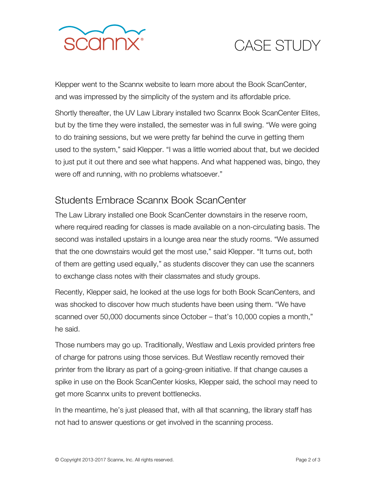

# CASE STUDY

Klepper went to the Scannx website to learn more about the Book ScanCenter, and was impressed by the simplicity of the system and its affordable price.

Shortly thereafter, the UV Law Library installed two Scannx Book ScanCenter Elites, but by the time they were installed, the semester was in full swing. "We were going to do training sessions, but we were pretty far behind the curve in getting them used to the system," said Klepper. "I was a little worried about that, but we decided to just put it out there and see what happens. And what happened was, bingo, they were off and running, with no problems whatsoever."

#### Students Embrace Scannx Book ScanCenter

The Law Library installed one Book ScanCenter downstairs in the reserve room, where required reading for classes is made available on a non-circulating basis. The second was installed upstairs in a lounge area near the study rooms. "We assumed that the one downstairs would get the most use," said Klepper. "It turns out, both of them are getting used equally," as students discover they can use the scanners to exchange class notes with their classmates and study groups.

Recently, Klepper said, he looked at the use logs for both Book ScanCenters, and was shocked to discover how much students have been using them. "We have scanned over 50,000 documents since October – that's 10,000 copies a month," he said.

Those numbers may go up. Traditionally, Westlaw and Lexis provided printers free of charge for patrons using those services. But Westlaw recently removed their printer from the library as part of a going-green initiative. If that change causes a spike in use on the Book ScanCenter kiosks, Klepper said, the school may need to get more Scannx units to prevent bottlenecks.

In the meantime, he's just pleased that, with all that scanning, the library staff has not had to answer questions or get involved in the scanning process.